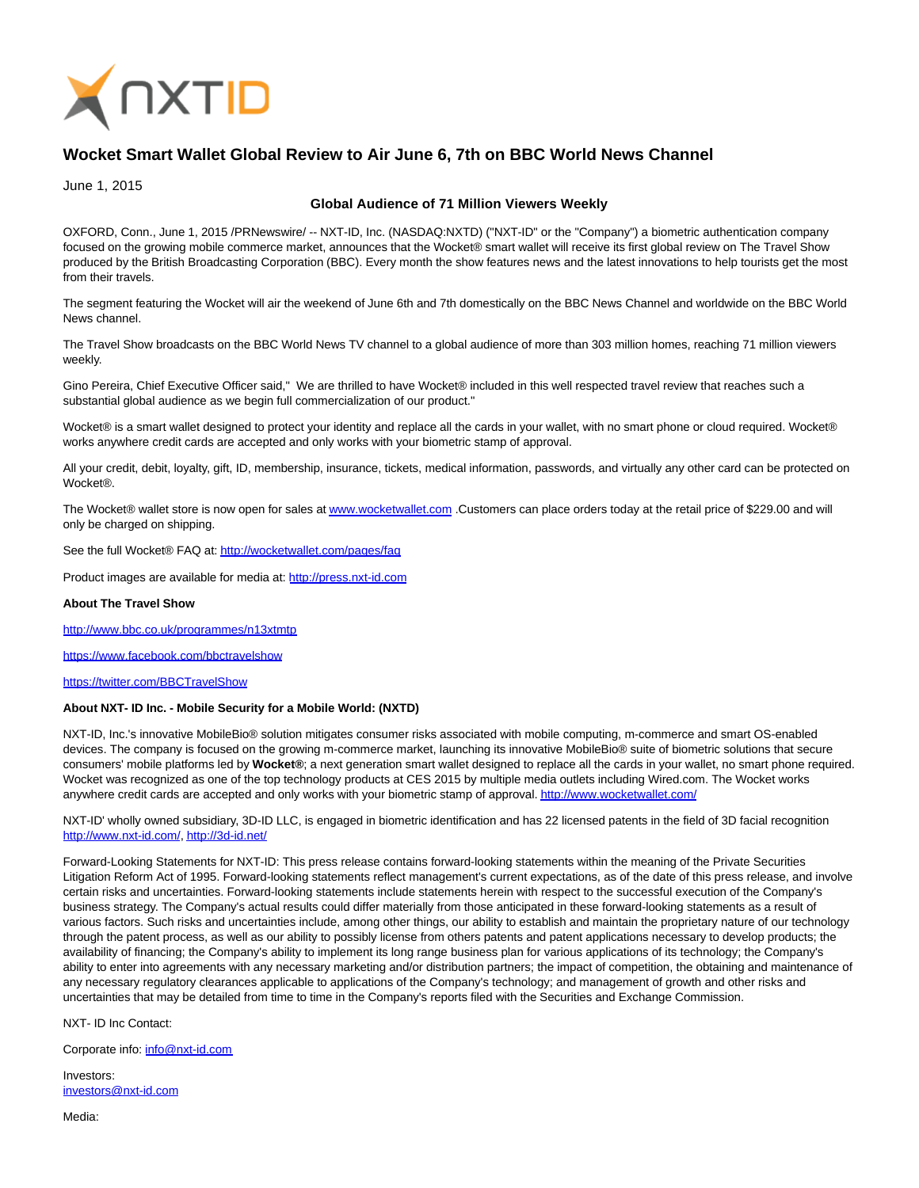

## **Wocket Smart Wallet Global Review to Air June 6, 7th on BBC World News Channel**

June 1, 2015

## **Global Audience of 71 Million Viewers Weekly**

OXFORD, Conn., June 1, 2015 /PRNewswire/ -- NXT-ID, Inc. (NASDAQ:NXTD) ("NXT-ID" or the "Company") a biometric authentication company focused on the growing mobile commerce market, announces that the Wocket® smart wallet will receive its first global review on The Travel Show produced by the British Broadcasting Corporation (BBC). Every month the show features news and the latest innovations to help tourists get the most from their travels.

The segment featuring the Wocket will air the weekend of June 6th and 7th domestically on the BBC News Channel and worldwide on the BBC World News channel.

The Travel Show broadcasts on the BBC World News TV channel to a global audience of more than 303 million homes, reaching 71 million viewers weekly.

Gino Pereira, Chief Executive Officer said," We are thrilled to have Wocket® included in this well respected travel review that reaches such a substantial global audience as we begin full commercialization of our product."

Wocket® is a smart wallet designed to protect your identity and replace all the cards in your wallet, with no smart phone or cloud required. Wocket® works anywhere credit cards are accepted and only works with your biometric stamp of approval.

All your credit, debit, loyalty, gift, ID, membership, insurance, tickets, medical information, passwords, and virtually any other card can be protected on Wocket®.

The Wocket® wallet store is now open for sales a[t www.wocketwallet.com .](http://www.wocketwallet.com/)Customers can place orders today at the retail price of \$229.00 and will only be charged on shipping.

See the full Wocket® FAQ at:<http://wocketwallet.com/pages/faq>

Product images are available for media at: [http://press.nxt-id.com](http://press.nxt-id.com/)

## **About The Travel Show**

<http://www.bbc.co.uk/programmes/n13xtmtp>

<https://www.facebook.com/bbctravelshow>

<https://twitter.com/BBCTravelShow>

## **About NXT- ID Inc. - Mobile Security for a Mobile World: (NXTD)**

NXT-ID, Inc.'s innovative MobileBio® solution mitigates consumer risks associated with mobile computing, m-commerce and smart OS-enabled devices. The company is focused on the growing m-commerce market, launching its innovative MobileBio® suite of biometric solutions that secure consumers' mobile platforms led by **Wocket®**; a next generation smart wallet designed to replace all the cards in your wallet, no smart phone required. Wocket was recognized as one of the top technology products at CES 2015 by multiple media outlets including Wired.com. The Wocket works anywhere credit cards are accepted and only works with your biometric stamp of approval[. http://www.wocketwallet.com/](http://www.wocketwallet.com/)

NXT-ID' wholly owned subsidiary, 3D-ID LLC, is engaged in biometric identification and has 22 licensed patents in the field of 3D facial recognition [http://www.nxt-id.com/,](http://www.nxt-id.com/)<http://3d-id.net/>

Forward-Looking Statements for NXT-ID: This press release contains forward-looking statements within the meaning of the Private Securities Litigation Reform Act of 1995. Forward-looking statements reflect management's current expectations, as of the date of this press release, and involve certain risks and uncertainties. Forward-looking statements include statements herein with respect to the successful execution of the Company's business strategy. The Company's actual results could differ materially from those anticipated in these forward-looking statements as a result of various factors. Such risks and uncertainties include, among other things, our ability to establish and maintain the proprietary nature of our technology through the patent process, as well as our ability to possibly license from others patents and patent applications necessary to develop products; the availability of financing; the Company's ability to implement its long range business plan for various applications of its technology; the Company's ability to enter into agreements with any necessary marketing and/or distribution partners; the impact of competition, the obtaining and maintenance of any necessary regulatory clearances applicable to applications of the Company's technology; and management of growth and other risks and uncertainties that may be detailed from time to time in the Company's reports filed with the Securities and Exchange Commission.

NXT- ID Inc Contact:

Corporate info: [info@nxt-id.com](mailto:info@nxt-id.com)

Investors: [investors@nxt-id.com](mailto:investors@nxt-id.com)

Media: